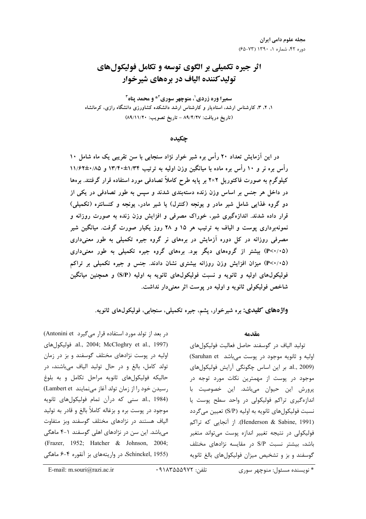# اثر جیره تکمیلی بر الگوی توسعه و تکامل فولیکولهای تولیدکننده الیاف در برههای شیرخوار

سميرا وره زردي'، منوچهر سوري<sup>4</sup>\* و محمد پناه<sup>1</sup> ۱، ۲، ۳، کارشناس ارشد، استادیار و کارشناس ارشد دانشکده کشاورزی دانشگاه رازی، کرمانشاه (تاريخ دريافت: ۸۹/۴/۲۷ - تاريخ تصويب: ۸۹/۱۱/۲۰)

## چکىدە

در این آزمایش تعداد ۲۰ رأس بره شیر خوار نژاد سنجابی با سن تقریبی یک ماه شامل ۱۰ رأس بره نر و ۱۰ رأس بره ماده با میانگین وزن اولیه به ترتیب ۱۳/۴۰±۱۲/۴ و ۱۱/۶۲±۰/۱۸ کیلوگرم به صورت فاکتوریل ۲×۲ بر پایه طرح کاملاً تصادفی مورد استفاده قرار گرفتند. برهها در داخل هر جنس بر اساس وزن زنده دستهبندی شدند و سپس به طور تصادفی در یکی از دو گروه غذایی شامل شیر مادر و یونجه (کنترل) یا شیر مادر، یونجه و کنسانتره (تکمیلی) قرار داده شدند. اندازهگیری شیر، خوراک مصرفی و افزایش وزن زنده به صورت روزانه و نمونهبرداری پوست و الیاف به ترتیب هر ۱۵ و ۲۸ روز یکبار صورت گرفت. میانگین شیر مصرفی روزانه در کل دوره آزمایش در برههای نر گروه جیره تکمیلی به طور معنیداری (P<۰/۰۵) بیشتر از گروههای دیگر بود. برههای گروه جیره تکمیلی به طور معنیداری (P<۰/۰۵) میزان افزایش وزن روزانه بیشتری نشان دادند. جنس و جیره تکمیلی بر تراکم فولیکولهای اولیه و ثانویه و نسبت فولیکولهای ثانویه به اولیه (S/P) و همچنین میانگین شاخص فوليکولي ثانويه و اوليه در يوست اثر معنىدار نداشت.

واژههای کلیدی: بره شیرخوار، پشم، جیره تکمیلی، سنجابی، فولیکولهای ثانویه.

در بعد از تولد مورد استفاده قرار می گیرد Antonini et) al., 2004; McCloghry et al., 1997). فوليكولهاي اولیه در پوست نژادهای مختلف گوسفند و بز در زمان تولد کامل، بالغ و در حال تولید الیاف میباشند، در حاليكه فوليكول هاى ثانويه مراحل تكامل و به بلوغ رسیدن خود را از زمان تولد آغاز می نمایند Lambert et) al., 1984). سنى كه درآن تمام فوليكول هاى ثانويه موجود در پوست بره و بزغاله کاملاً بالغ و قادر به تولید الیاف هستند در نژادهای مختلف گوسفند وبز متفاوت میباشد. این سن در نژادهای اهلی گوسفند ۱-۴ ماهگی (Frazer, 1952; Hatcher & Johnson, 2004; (Schinckel, 1955، در واریتههای بز آنقوره ۴-۶ ماهگی

#### مقدمه

توليد الياف در گوسفند حاصل فعاليت فوليكول هاي اولیه و ثانویه موجود در پوست میباشد Saruhan et) al., 2009). بر این اساس چگونگی آرایش فولیکولهای موجود در پوست از مهمترین نکات مورد توجه در پرورش این حیوان میباشد. این خصوصیت با اندازهگیری تراکم فولیکولی در واحد سطح پوست یا نسبت فوليكولهاي ثانويه به اوليه (S/P) تعيين مي گردد (Henderson & Sabine, 1991). از آنجایی که تراکم فولیکولی در نتیجه تغییر اندازه پوست میتواند متغیر باشد، بیشتر نسبت S/P در مقایسه نژادهای مختلف گوسفند و بز و تشخیص میزان فولیکولهای بالغ ثانویه

E-mail: m.souri@razi.ac.ir

<sup>\*</sup> نويسنده مسئول: منوچهر سوري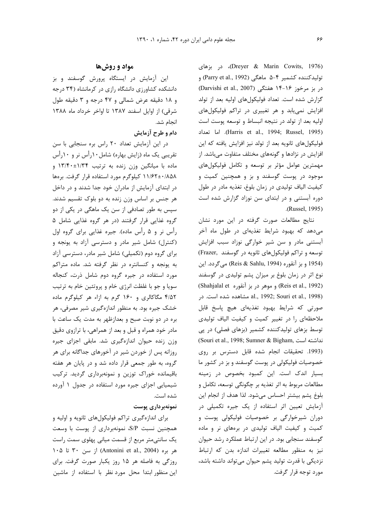(Dreyer & Marin Cowits, 1976)، در بزهای توليدكننده كشمير ۴−۵ ماهگي (Parry et al., 1992) و در بز مرخوز ۱۶-۱۴ هفتگی (Darvishi et al., 2007) گزارش شده است. تعداد فولیکولهای اولیه بعد از تولد افزایش نمی یابد و هر تغییری در تراکم فولیکولهای اولیه بعد از تولد در نتیجه انبساط و توسعه پوست است (Harris et al., 1994; Russel, 1995). اما تعداد فولیکولهای ثانویه بعد از تولد نیز افزایش یافته که این افزایش در نژادها و گونههای مختلف متفاوت میباشد. از مهمترین عوامل مؤثر بر توسعه و تکامل فولیکولهای موجود در پوست گوسفند و بز و همچنین کمیت و كيفيت الياف توليدي در زمان بلوغ، تغذيه مادر در طول دوره آبستنی و در ابتدای سن نوزاد گزارش شده است .(Russel, 1995).

نتايج مطالعات صورت گرفته در اين مورد نشان میدهد که بهبود شرایط تغذیهای در طول ماه آخر آبستنی مادر و سن شیر خوارگی نوزاد سبب افزایش توسعه و تراکم فولیکولهای ثانویه در گوسفند .Frazer) (1954 و بز آنقوره (Reis & Sahlu, 1994) میگردد. این نوع اثر در زمان بلوغ بر میزان پشم تولیدی در گوسفند (Reis et al., 1992) و موهر در بز آنقوره Shahjalal et) al., 1992; Souri et al., 1998) مشاهده شده است. در صورتی که شرایط بهبود تغذیهای هیچ پاسخ قابل ملاحظهای را در تغییر کمیت و کیفیت الیاف تولیدی توسط بزهای تولیدکننده کشمیر (بزهای فصلی) در پی (Souri et al., 1998; Sumner & Bigham, نداشته است (1993. تحقيقات انجام شده قابل دسترس بر روى خصوصیات فولیکولی در پوست گوسفند و بز در کشور ما بسیار اندک است. این کمبود بخصوص در زمینه مطالعات مربوط به اثر تغذیه بر چگونگی توسعه، تکامل و بلوغ يشم بيشتر احساس مي شود. لذا هدف از انجام اين آزمایش تعیین اثر استفاده از یک جیره تکمیلی در دوران شیرخوارگی بر خصوصیات فولیکولی پوست و کمیت و کیفیت الیاف تولیدی در برههای نر و ماده گوسفند سنجابی بود. در این ارتباط عملکرد رشد حیوان نیز به منظور مطالعه تغییرات اندازه بدن که ارتباط نزدیکی با قدرت تولید پشم حیوان میتواند داشته باشد، مورد توجه قرار گرفت.

## مواد و روشها

این آزمایش در ایستگاه پرورش گوسفند و بز دانشکده کشاورزی دانشگاه رازی در کرمانشاه (۳۴ درجه و ۱۸ دقیقه عرض شمالی و ۴۷ درجه و ۳ دقیقه طول شرقی) از اوایل اسفند ۱۳۸۷ تا اواخر خرداد ماه ۱۳۸۸ انجام شد.

## دام و طرح آزمایش

در این آزمایش تعداد ۲۰ راس بره سنجابی با سن تقریبی یک ماه (زایش بهاره) شامل۱۰رأس نر و ۱۰رأس ماده با میانگین وزن زنده به ترتیب ۱۳/۴۰±۱۳/۴۰ و ۱۱/۶۲±۰/۸۵۸ کیلوگرم مورد استفاده قرار گرفت. برهها در ابتدای آزمایش از مادران خود جدا شدند و در داخل هر جنس بر اساس وزن زنده به دو بلوک تقسیم شدند. سپس به طور تصادفی از سن یک ماهگی در یکی از دو گروه غذایی قرار گرفتند (در هر گروه غذایی شامل ۵ رأس نر و ۵ رأس ماده). جيره غذايي براي گروه اول (کنترل) شامل شیر مادر و دسترسی آزاد به یونجه و برای گروه دوم (تکمیلی) شامل شیر مادر، دسترسی آزاد به یونجه و کنسانتره در نظر گرفته شد. ماده متراکم مورد استفاده در جیره گروه دوم شامل ذرت، کنجاله سویا و جو با غلظت انرژی خام و پروتئین خام به ترتیب ۴/۵۲ مگاکالری و ۱۶۰ گرم به ازاء هر کیلوگرم ماده خشک جیره بود. به منظور اندازهگیری شیر مصرفی، هر بره در دو نوبت صبح و بعدازظهر به مدت یک ساعت با مادر خود همراه و قبل و بعد از همراهی، با ترازوی دقیق وزن زنده حیوان اندازهگیری شد. مابقی اجزای جیره روزانه پس از خوردن شیر در آخورهای جداگانه برای هر گروه، به طور جمعی قرار داده شد و در پایان هر هفته باقیمانده خوراک توزین و نمونهبرداری گردید. ترکیب شیمیایی اجزای جیره مورد استفاده در جدول ۱ آورده شده است.

### نمونەبردارى پوست

برای اندازهگیری تراکم فولیکولهای ثانویه و اولیه و همچنین نسبت S/P، نمونهبرداری از پوست با وسعت یک سانتی متر مربع از قسمت میانی پهلوی سمت راست ۱۰۵ تا ۱۰۵) (Antonini et al., 2004) از سن ۳۰ تا ۱۰۵ روزگی به فاصله هر ۱۵ روز یکبار صورت گرفت. برای این منظور ابتدا محل مورد نظر با استفاده از ماشین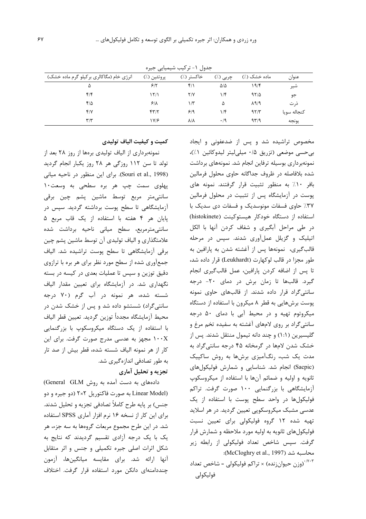| بعون التربيب سيسيني بنيرد                |             |             |                 |               |             |  |  |  |  |
|------------------------------------------|-------------|-------------|-----------------|---------------|-------------|--|--|--|--|
| انرژی خام (مگاکالری برکیلو گرم ماده خشک) | پروتئين (٪) | خاكستر (٪)  | چربی (٪)        | ماده خشک (٪)  | عنوان       |  |  |  |  |
| ۵                                        | ۶۱۲         | $f/\lambda$ | $\Delta/\Delta$ | ۱۹/۴          | شير         |  |  |  |  |
| ۴۱۴                                      | ۱۲۱۱        | ۲/۷         | ۱/۴             | 97/2          | جو          |  |  |  |  |
| ۴۱۵                                      | $8/\lambda$ | ۱۳          | ۵               | $\lambda$ 9/9 | ذ, ت        |  |  |  |  |
| Y/Y                                      | 57/7        | 9/9         | ۱۱۴             | 97/T          | كنجاله سويا |  |  |  |  |
| ۳/۳                                      | Y/2         | 시시          | $\cdot$ /9      | 97/9          | يونجه       |  |  |  |  |

حدول ١- تركيب شيميايي حيره

مخصوص تراشیده شد و پس از ضدعفونی و ایجاد بیحسی موضعی (تزریق ۰/۵ میلی لیتر لیدوکائین ۱٪)، نمونهبرداری بوسیله ترفاین انجام شد. نمونههای برداشت شده بلافاصله در ظروف جداگانه حاوی محلول فرمالین بافر ۱۰٪ به منظور تثبیت قرار گرفتند. نمونه های پوست در آزمایشگاه پس از تثبیت در محلول فرمالین ٣٧٪ حاوى فسفات مونوسديك و فسفات دى سديك با استفاده از دستگاه خودکار هیستوکینت (histokinete) در طی مراحل آبگیری و شفاف کردن آنها با الکل اتیلیک و گزیلل عملآوری شدند. سپس در مرحله قالب گیری، نمونهها پس از آغشته شدن به پارافین به طور مجزا در قالب لوكهارت (Leukhardt) قرار داده شد، تا پس از اضافه کردن پارافین، عمل قالب گیری انجام گیرد. قالبها تا زمان برش در دمای ۲۰- درجه سانتی گراد قرار داده شدند. از قالبهای حاوی نمونه پوست برشهایی به قطر ۸ میکرون با استفاده از دستگاه میکروتوم تهیه و در محیط آبی با دمای ۵۰ درجه سانتیگراد بر روی لامهای آغشته به سفیده تخم مرغ و گلیسیرین (۱:۱) و چند دانه تیمول منتقل شدند. پس از خشک شدن لامها در گرمخانه ۴۵ درجه سانتیگراد به مدت یک شب، رنگآمیزی برشها به روش ساکپیک (Sacpic) انجام شد. شناسایی و شمارش فولیکولهای ثانویه و اولیه و ضمائم آنها با استفاده از میکروسکوپ آزمایشگاهی با بزرگنمایی ۱۰۰ صورت گرفت. تراکم فوليكولها در واحد سطح پوست با استفاده از يک عدسی مشبک میکروسکوپی تعیین گردید. در هر اسلاید تهیه شده ۱۲ گروه فولیکولی برای تعیین نسبت فولیکولهای ثانویه به اولیه مورد ملاحظه و شمارش قرار گرفت. سپس شاخص تعداد فولیکولی از رابطه زیر محاسبه شد (McCloghry et al., 1997):

<sup>۰/۷۰۴</sup>(وزن حیوانزنده) × تراکم فولیکولی = شاخص تعداد فوليكولى

#### کمیت و کیفیت الیاف تولیدی

نمونهبرداری از الیاف تولیدی برهها از روز ۲۸ بعد از تولد تا سن ۱۱۲ روزگی هر ۲۸ روز یکبار انجام گردید (Souri et al., 1998). برای این منظور در ناحیه میانی پهلوی سمت چپ هر بره سطحی به وسعت١٠ سانتی متر مربع توسط ماشین پشم چین برقی آزمایشگاهی تا سطح پوست برداشته گردید. سپس در پایان هر ۴ هفته با استفاده از یک قاب مربع ۵ سانتی مترمربع، سطح میانی ناحیه برداشت شده علامتگذاری و الیاف تولیدی آن توسط ماشین پشم چین برقی آزمایشگاهی تا سطح پوست تراشیده شد. الیاف جمعآوری شده از سطح مورد نظر برای هر بره با ترازوی دقیق توزین و سپس تا عملیات بعدی در کیسه در بسته نگهداری شد. در آزمایشگاه برای تعیین مقدار الیاف شسته شده، هر نمونه در آب گرم (۷۰ درجه سانتیگراد) شستشو داده شد و پس از خشک شدن در محيط آزمايشگاه مجددأ توزين گرديد. تعيين قطر الياف با استفاده از یک دستگاه میکروسکوپ با بزرگنمایی ۱۰۰X مجهز به عدسی مدرج صورت گرفت. برای این کار از هر نمونه الیاف شسته شده، قطر بیش از صد تار به طور تصادفی اندازهگیری شد. تجزیه و تحلیل آماری

دادههای به دست آمده به روش General GLM) (Linear Model به صورت فاکتوریل ۲×۲ (دو جیره و دو جنس) بر پایه طرح کاملاً تصادفی تجزیه و تحلیل شدند. برای این کار از نسخه ۱۶ نرم افزار آماری SPSS استفاده شد. در این طرح مجموع مربعات گروهها به سه جزء، هر یک با یک درجه آزادی تقسیم گردیدند که نتایج به شکل اثرات اصلی جیره تکمیلی و جنس و اثر متقابل آنها ارائه شد. براي مقايسه ميانگينها، آزمون چنددامنهای دانکن مورد استفاده قرار گرفت. اختلاف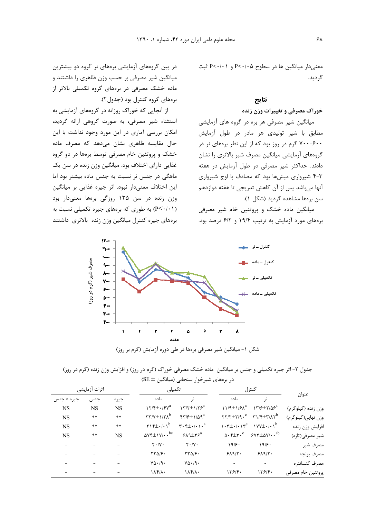معنی دار میانگین ها در سطوح P<۰/۰۵ و P<۰/۰۱ ثبت گر دید.

### نتايج

#### خوراک مصرفی و تغییرات وزن زنده

میانگین شیر مصرفی هر بره در گروه های آزمایشی مطابق با شیر تولیدی هر مادر در طول آزمایش ۶۰۰–۷۰۰ گرم در روز بود که از این نظر برههای نر در گروههای آزمایشی میانگین مصرف شیر بالاتری را نشان دادند. حداکثر شیر مصرفی در طول آزمایش در هفته ۴-۳ شیرواری میشها بود که مصادف با اوج شیرواری آنها میباشد پس از آن کاهش تدریجی تا هفته دوازدهم سن برەها مشاهده گرديد (شكل ۱).

میانگین ماده خشک و پروتئین خام شیر مصرفی برههای مورد آزمایش به ترتیب ۱۹/۴ و ۶/۲ درصد بود.

در بین گروههای آزمایشی برههای نر گروه دو بیشترین میانگین شیر مصرفی بر حسب وزن ظاهری را داشتند و ماده خشک مصرفی در برههای گروه تکمیلی بالاتر از برەهای گروه کنترل بود (جدول۲).

از آنجایی که خوراک روزانه در گروههای آزمایشی به استثناء شير مصرفي، به صورت گروهي ارائه گرديد، امکان بررسی آماری در این مورد وجود نداشت با این حال مقایسه ظاهری نشان میدهد که مصرف ماده خشک و پروتئین خام مصرفی توسط برهها در دو گروه غذایی دارای اختلاف بود. میانگین وزن زنده در سن یک ماهگی در جنس نر نسبت به جنس ماده بیشتر بود اما این اختلاف معنیدار نبود. اثر جیره غذایی بر میانگین وزن زنده در سن ۱۳۵ روزگی برهها معنیدار بود (P<・/۱) به طوری که برههای جیره تکمیلی نسبت به برههای جیره کنترل میانگین وزن زنده بالاتری داشتند



جدول ۲- اثر جیره تکمیلی و جنس بر میانگین ماده خشک مصرفی خوراک (گرم در روز) و افزایش وزن زنده (گرم در روز)  $\left( \text{SE} \pm \right)$ در برههای شیرخوار سنجابی (میانگین

|                    | كنترل                                                                                                                           |                                                                 | تكميلى                                                                 |                                                                                  | اثرات آزمايشى |           |            |
|--------------------|---------------------------------------------------------------------------------------------------------------------------------|-----------------------------------------------------------------|------------------------------------------------------------------------|----------------------------------------------------------------------------------|---------------|-----------|------------|
| عنوان              | نر                                                                                                                              | ماده                                                            |                                                                        | ماده                                                                             | جيره          | جنس       | جيره × جنس |
| وزن زنده (کیلوگرم) | $\gamma$ $\gamma$ / $\epsilon$ $\pm$ $\gamma$ / $\delta$ $\epsilon$ <sup>a</sup>                                                | $11/9 \pm 1/8 \lambda^a$                                        | $\frac{17}{7 \pm 175^a}$                                               | $\gamma \gamma / \gamma \pm \frac{1}{2}$                                         | <b>NS</b>     | <b>NS</b> | <b>NS</b>  |
| وزن نهایی(کیلوگرم) | $\gamma \gamma / \gamma \pm \gamma / \mathfrak{q} \cdot \mathfrak{c}$ $\gamma \gamma / \gamma \pm \gamma / \mathfrak{r} \gamma$ |                                                                 | $\mathfrak{f}\mathfrak{r}/\mathfrak{f}\pm 1/\Delta\mathfrak{q}^a$      | $\mathsf{r}\mathsf{r}/\mathsf{v}\pm\mathsf{1}/\mathsf{r}\mathsf{v}^{\mathsf{b}}$ | $***$         | $***$     | <b>NS</b>  |
| افزايش وزن زنده    | $\gamma$                                                                                                                        | $\mathcal{N} \cdot \mathcal{r} \pm \cdot / \cdot \mathcal{N}^c$ | $\mathbf{r} \cdot \mathbf{f} \pm \cdot / \cdot \cdot \cdot \mathbf{a}$ | $\gamma$                                                                         | $**$          | $**$      | <b>NS</b>  |
| شیر مصرفی(تازه)    | $547 + \Delta V / \cdot \cdot ^{ab}$                                                                                            | $\Delta \cdot \mathsf{f} \pm \mathsf{r} \cdot^c$                | $9A4 \pm 79^a$                                                         | $\Delta V f \pm 1 V / \cdot \cdot ^{bc}$                                         | <b>NS</b>     | $***$     | <b>NS</b>  |
| مصرف شير           | 19/8                                                                                                                            | 19/8                                                            | $Y \cdot / Y \cdot$                                                    | $\mathbf{Y} \cdot / \mathbf{V} \cdot$                                            |               |           |            |
| مصرف يونجه         | 519/7.                                                                                                                          | 519/7.                                                          | $\tau\tau\Delta/\gamma$ .                                              | $TT\Delta/F$                                                                     |               |           |            |
| مصرف كنسانتره      |                                                                                                                                 | $\overline{\phantom{a}}$                                        | $V\Delta \cdot$ /9.                                                    | $Y\Delta \cdot 19$ .                                                             |               |           |            |
| پروتئين خام مصرفي  | 179/5                                                                                                                           | ۱۳۶۱۴۰                                                          | $\lambda f/\lambda$ .                                                  | $\lambda f/\lambda$ .                                                            |               |           |            |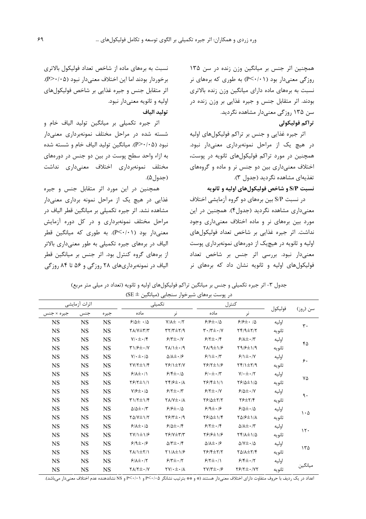همچنین اثر جنس بر میانگین وزن زنده در سن ۱۳۵ روزگی معنیدار بود (P<٠/٠١) به طوری که برههای نر نسبت به برههای ماده دارای میانگین وزن زنده بالاتری بودند. اثر متقابل جنس و جیره غذایی بر وزن زنده در سن ۱۳۵ روزگی معنیدار مشاهده نگردید.

## تراكم فوليكولي

اثر جيره غذايي و جنس بر تراكم فوليكولهاي اوليه در هیچ یک از مراحل نمونهبرداری معنیدار نبود. همچنین در مورد تراکم فولیکولهای ثانویه در پوست، اختلاف معنی داری بین دو جنس نر و ماده و گروههای تغذيهاي مشاهده نگرديد (جدول ٣).

نسبت S/P و شاخص فوليكولهاي اوليه و ثانويه

در نسبت S/P بین برههای دو گروه آزمایشی اختلاف معنیداری مشاهده نگردید (جدول۴). همچنین در این مورد بین برههای نر و ماده اختلاف معنیداری وجود نداشت. اثر جیره غذایی بر شاخص تعداد فولیکولهای اولیه و ثانویه در هیچیک از دورههای نمونهبرداری پوست معنیدار نبود. بررسی اثر جنس بر شاخص تعداد فولیکولهای اولیه و ثانویه نشان داد که برههای نر

نسبت به برههای ماده از شاخص تعداد فولیکول بالاتری برخوردار بودند اما این اختلاف معنیدار نبود (P>٠/٠۵). اثر متقابل جنس و جیره غذایی بر شاخص فولیکولهای اوليه و ثانويه معنى دار نبود. توليد الياف

اثر جیره تکمیلی بر میانگین تولید الیاف خام و شسته شده در مراحل مختلف نمونهبرداری معنیدار نبود (P>٠/٠۵). میانگین تولید الیاف خام و شسته شده به ازاء واحد سطح پوست در بین دو جنس در دورههای مختلف نمونهبرداري اختلاف معنىدارى نداشت (جدول۵).

همچنین در این مورد اثر متقابل جنس و جیره غذایی در هیچ یک از مراحل نمونه برداری معنیدار مشاهده نشد. اثر جیره تکمیلی بر میانگین قطر الیاف در مراحل مختلف نمونهبرداری و در کل دوره آزمایش معنی دار بود (P<۰/۰۱). به طوری که میانگین قطر الیاف در برههای جیره تکمیلی به طور معنیداری بالاتر از برههای گروه کنترل بود. اثر جنس بر میانگین قطر الیاف در نمونهبرداریهای ۲۸ روزگی و ۵۶ تا ۸۴ روزگی

جدول ۳- اثر جیره تکمیلی و جنس بر میانگین تراکم فولیکولهای اولیه و ثانویه (تعداد در میلی متر مربع)  $SE \pm$  در یوست برمهای شیرخوار سنجابی (میانگین  $\pm$ 

|            |               |           |                                                               | .<br>,, ,.                                        | $\overline{\phantom{a}}$<br>ノッノ            |                                           |         |                |
|------------|---------------|-----------|---------------------------------------------------------------|---------------------------------------------------|--------------------------------------------|-------------------------------------------|---------|----------------|
|            | اثرات آزمايشى |           | تكميلى                                                        |                                                   |                                            | كنترل                                     |         |                |
| جيره × جنس | جنس           | جير ه     | ماده                                                          | نر                                                | ماده                                       | نر                                        | فوليكول | سن (روز)       |
| NS         | <b>NS</b>     | <b>NS</b> | $9/2 \pm 1/2$                                                 | $Y/\lambda \pm 1.7$                               | $99\pm.10$                                 | $9/7 \pm 10$                              | اوليه   | $\mathbf{r}$ . |
| <b>NS</b>  | <b>NS</b>     | <b>NS</b> | $\Upsilon\Lambda/\Upsilon\pm\Upsilon/\Upsilon$                | $\Gamma(\Upsilon\pm\Upsilon)$                     | $\mathbf{r} \cdot \mathbf{r} + \mathbf{r}$ | $Yf/9 \pm Y/Y$                            | ثانويه  |                |
| <b>NS</b>  | <b>NS</b>     | <b>NS</b> | $Y/\cdot \pm \cdot$ /۴                                        | $9/7 + 1$                                         | $9/7 \pm 1.1$                              | $9/\lambda \pm \cdot 7^\circ$             | اوليه   | ۴۵             |
| <b>NS</b>  | <b>NS</b>     | <b>NS</b> | $\Upsilon$ // $\sqrt{\varepsilon}$ +/Y                        | $\gamma(\lambda/\lambda\pm\cdot)$                 | $\frac{1}{2}$                              | $Y9/F \pm 1/9$                            | ثانويه  |                |
| <b>NS</b>  | <b>NS</b>     | <b>NS</b> | $\mathsf{Y}/\boldsymbol{\cdot} \pm \boldsymbol{\cdot}/\Delta$ | $\Delta/\lambda \pm \cdot 19$                     | $9/1 \pm 1.7$                              | $9/1 \pm 1.7$                             | اوليه   | ۶.             |
| <b>NS</b>  | <b>NS</b>     | <b>NS</b> | $\Upsilon V/\Upsilon \pm 1/\Upsilon$                          | $Y$ $Y$ $Y$                                       | $Y$ $/Y$ $\pm$ $Y$                         | $Yf/\pm Y$                                | ثانويه  |                |
| <b>NS</b>  | <b>NS</b>     | <b>NS</b> | $9/\lambda \pm 1/\lambda$                                     | $915 \pm 10$                                      | $9.1 + 17$                                 | $Y/\cdot \pm \cdot / \tau$                | اوليه   |                |
| <b>NS</b>  | <b>NS</b>     | <b>NS</b> | $Y$ $Y$ $Y$ $\pm$ $Y$                                         | $Yf/\mathcal{F}\pm\cdot/\Lambda$                  | $Y$ $Y$ $Y$ $\pm$ $Y$                      | $Y9/\Delta \pm 1/\Delta$                  | ثانويه  | ٧۵             |
| <b>NS</b>  | <b>NS</b>     | <b>NS</b> | $Y/\sqrt{2}$ + / $\Delta$                                     | $8/7 \pm 1.7$                                     | $9/7 \pm 1/7$                              | $9/4 + 1$                                 | اوليه   |                |
| <b>NS</b>  | <b>NS</b>     | <b>NS</b> | $\frac{1}{2}$                                                 | $\Upsilon \Lambda / \Upsilon \pm \cdot / \Lambda$ | $Y$ $/$ $\Delta$ $\pm$ $Y$ $/$ $Y$         | $Y$ $\neq$ $Y$ / $Y$                      | ثانويه  | ٩.             |
| <b>NS</b>  | <b>NS</b>     | <b>NS</b> | $\Delta/\Delta \pm \cdot 7$                                   | $99 + 10$                                         | $9/9 \pm 1.7$                              | $9/8 + 10$                                | اوليه   |                |
| <b>NS</b>  | <b>NS</b>     | <b>NS</b> | $Y\Delta/Y \pm Y/Y$                                           | $Y/\gamma + \gamma$                               | $Y9/\Delta \pm 1/\gamma$                   | $Y\Delta$ / $\mathcal{F}$ $\pm$ $\Lambda$ | ثانويه  | $\cdot \Delta$ |
| <b>NS</b>  | <b>NS</b>     | <b>NS</b> | $9/\lambda \pm 1/\Delta$                                      | $9/0 \pm 1.7$                                     | $9/7 \pm 1.7$                              | $\Delta/\lambda \pm \cdot 7$              | اوليه   |                |
| <b>NS</b>  | <b>NS</b>     | <b>NS</b> | $\Upsilon V/\Upsilon \pm \Upsilon/2$                          | $Y$ $Y$ $Y$ $+Y$ $Y$                              | $Y9/7 \pm 1/9$                             | $Yf/\lambda \pm 1/\Delta$                 | ثانويه  | $\mathcal{N}$  |
| <b>NS</b>  | <b>NS</b>     | <b>NS</b> | $9/9 \pm 1.19$                                                | $\Delta$ /۳ $\pm$ $\cdot$ /۴                      | $\Delta/\lambda \pm \cdot 19$              | $\Delta/V \pm \cdot/\Delta$               | اوليه   |                |
| <b>NS</b>  | <b>NS</b>     | <b>NS</b> | $Y\Lambda/\Lambda \pm Y/\Lambda$                              | $Y1/\lambda \pm 1/5$                              | $Y$ $Y$ $Y$ $\pm$ $Y$ $Y$                  | $Y\Delta/\lambda \pm Y/\mathfrak{F}$      | ثانويه  | 170            |
| <b>NS</b>  | <b>NS</b>     | <b>NS</b> | $9/\lambda \pm \cdot 7$                                       | $9/7 \pm 1/7$                                     | $9/7 \pm 1/1$                              | $9/5+17$                                  | اوليه   |                |
| <b>NS</b>  | <b>NS</b>     | <b>NS</b> | $Y\Lambda/Y\pm\cdot/Y$                                        | $\Upsilon V/\cdot \pm \cdot/\Lambda$              | $\Upsilon V/\Upsilon \pm \cdot 19$         |                                           | ثانويه  | ميانگين        |

اعداد در یک ردیف با حروف متفاوت دارای اختلاف معنیدار هستند (\* و \*\* بترتیب نشانگر ۲۰/۰۵ و ۲۰/۰۱ و Ns نشاندهنده عدم اختلاف معنیدار میباشد).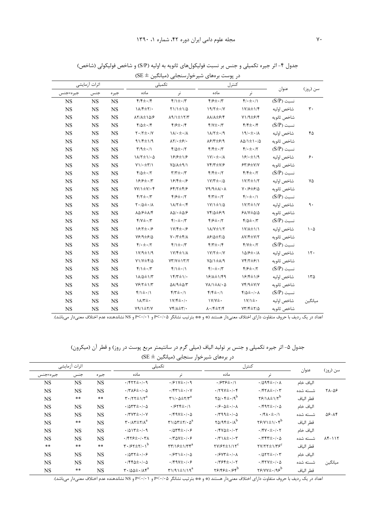|               |           |           |                                                     | در پوست برەھای شیرخوارسنجابی (میانگین ± SE)         |                                                                |                                                  |              |                                 |
|---------------|-----------|-----------|-----------------------------------------------------|-----------------------------------------------------|----------------------------------------------------------------|--------------------------------------------------|--------------|---------------------------------|
| اثرات آزمايشى |           |           | تكميلى                                              |                                                     | كنترل                                                          |                                                  |              |                                 |
| جيره×جنس      | جنس       | جيره      | ماده                                                | نر                                                  | ماده                                                           | نر                                               | عنوان        | سن (روز)                        |
| NS            | <b>NS</b> | <b>NS</b> | $f/f \pm 1/f$                                       | $f/\iota \pm \iota/\iota$                           | $\mathfrak{f}/\mathfrak{f}\pm\cdot/\mathfrak{f}$               | $\mathfrak{f}/\cdot\pm\cdot/\mathfrak{f}$        | $(S/P)$ نسبت |                                 |
| $_{\rm NS}$   | <b>NS</b> | <b>NS</b> | <b>\A/F±٢/.</b>                                     | $\frac{1}{2}$                                       | $19/7 \pm 1/7$                                                 | $1Y/\lambda \pm 1/\mathfrak{f}$                  | شاخص اوليه   | $\mathbf{r}$ .                  |
| <b>NS</b>     | NS        | <b>NS</b> | $\lambda \Upsilon / \lambda \pm \lambda \Delta / 8$ | $\lambda$ 9/1 $\pm$ 17/٣                            | $\lambda\lambda/\lambda\pm\beta/\mathfrak{f}$                  | Y1/9E/5                                          | شاخص ثانويه  |                                 |
| NS            | <b>NS</b> | <b>NS</b> | $f/\Delta \pm \cdot$                                | $f/\sqrt{2}$ + $\sqrt{2}$                           | $Y/Y \pm Y'$                                                   | $f/f \pm 1/f$                                    | $(S/P)$ نسبت |                                 |
| <b>NS</b>     | NS        | <b>NS</b> | $Y \cdot / Y \pm \cdot / Y$                         | $\lambda/\cdot\pm\cdot/\lambda$                     | $1\lambda/T\pm\cdot$ /9                                        | $19/4 \pm 1/4$                                   | شاخص اوليه   | ۴۵                              |
| <b>NS</b>     | NS        | <b>NS</b> | $91/F \pm 1/9$                                      | $\lambda \Upsilon / \cdot \pm \mathfrak{S} / \cdot$ | $\lambda$ ۶/۳ $\pm$ ۶/۹                                        | $\lambda\Delta/\lambda\pm\lambda$                | شاخص ثانويه  |                                 |
| NS            | NS        | <b>NS</b> | $\Upsilon/9\pm\cdot/\Upsilon$                       | $f/\Delta \pm \cdot 7$                              | $f/f \pm \cdot / \tau$                                         | $f/\cdot \pm \cdot / \tau$                       | $(S/P)$ نسبت |                                 |
| <b>NS</b>     | <b>NS</b> | <b>NS</b> | $1\lambda/\Upsilon\pm1/\cdot\Delta$                 | $199 + 18$                                          | $\gamma \cdot \pm \cdot / \lambda$                             | $18/2 \pm 1/9$                                   | شاخص اوليه   | ۶.                              |
| <b>NS</b>     | NS        | <b>NS</b> | $Y\setminus\cdot\pm\tau/\setminus$                  | $Y\Delta/\Delta \pm 9/1$                            | $Yf/T \pm Y/\mathcal{F}$                                       | $54/5 \pm 1$                                     | شاخص ثانويه  |                                 |
| <b>NS</b>     | NS        | <b>NS</b> | $f/\Delta \pm \cdot 7$                              | $\Upsilon/\Upsilon \pm \cdot/\Upsilon$              | $f/f \pm 1.7$                                                  | $f/f \pm 1.7$                                    | $(S/P)$ نسبت |                                 |
| <b>NS</b>     | <b>NS</b> | <b>NS</b> | $19/7 \pm 17$                                       | $18/7 \pm 1/8$                                      | $1Y/T \pm 1/\Delta$                                            | $1Y/T \pm 1/T$                                   | شاخص اوليه   | ٧۵                              |
| <b>NS</b>     | <b>NS</b> | <b>NS</b> | $YY/1\pm Y/\cdot f$                                 | $55/7 \pm 9/9$                                      | $\lambda + \lambda/4$                                          | $Y \cdot   5 \pm 5   0$                          | شاخص ثانويه  |                                 |
| NS            | NS        | <b>NS</b> | $\mathcal{F}/\mathcal{F} \pm \cdot/\mathcal{F}$     | $f/\sqrt{2}$ + $/5$                                 | $\mathfrak{f}/\mathfrak{r}\pm\cdot$ /۲                         | $f(\cdot \pm \cdot)$                             | $(S/P)$ نسبت |                                 |
| <b>NS</b>     | NS        | <b>NS</b> | $\Upsilon \cdot / \Delta \pm \cdot / \Lambda$       | $11/7 \pm 1/5$                                      | $1Y/1 \pm 1/\Delta$                                            | $1Y/\tau \pm 1/Y$                                | شاخص اوليه   | ٩.                              |
| <b>NS</b>     | <b>NS</b> | <b>NS</b> | $\lambda \Delta \beta \pm \lambda/\mathfrak{f}$     | $\lambda\Delta/\cdot\pm\Delta/\mathcal{F}$          | $Yf/\Delta \pm 5/9$                                            | $FA/V \pm \Delta/\Delta$                         | شاخص ثانويه  |                                 |
| <b>NS</b>     | <b>NS</b> | <b>NS</b> | $Y/Y \pm Y'$                                        | $\mathbf{f}/\cdot \pm \cdot/\mathbf{f}'$            | $f/\sqrt{2}$ + $\cdot$ / $\tau$                                | $f/\Delta t$ . $/7$                              | $(S/P)$ نسبت |                                 |
| <b>NS</b>     | <b>NS</b> | <b>NS</b> | $18/7 \pm 19$                                       | $1Y/\sqrt{2}+\sqrt{2}$                              | $1\lambda/Y \pm 1/Y$                                           | $1Y/\lambda \pm 1/1$                             | شاخص اوليه   | $\mathcal{L} \cdot \mathcal{L}$ |
| <b>NS</b>     | NS        | <b>NS</b> | $Y$ ۶/۹ $\pm$ ۶/۵                                   | $V \cdot / \tilde{r} \pm \tilde{r} / \Lambda$       | $\lambda$ ۶/۵ $\pm$ ۲/۵                                        | $\lambda V/\sqrt[4]{\pm V/\gamma}$               | شاخص ثانويه  |                                 |
| NS            | <b>NS</b> | <b>NS</b> | $f(\cdot \pm \cdot)$                                | $f/\iota + \iota$                                   | $f/\tau \pm 1.7$                                               | $Y/Y \pm Y$                                      | $(S/P)$ نسبت |                                 |
| <b>NS</b>     | <b>NS</b> | <b>NS</b> | $1 \vee / 9 \pm 1 / 9$                              | $1V/f \pm 1/\lambda$                                | $Y/Y^{\pm}$ ./Y                                                | $1\Delta$ / $\epsilon$ $\pm$ $\cdot$ / $\Lambda$ | شاخص اوليه   | $\mathcal{N}$ .                 |
| <b>NS</b>     | <b>NS</b> | <b>NS</b> | $Y1/Y \pm Y/\Delta$                                 | $YY/Y \pm YY/Y$                                     | $Y\Delta/\lambda \pm \lambda/\eta$                             | $Yf Y \pm f/1$                                   | شاخص ثانويه  |                                 |
| <b>NS</b>     | <b>NS</b> | <b>NS</b> | $f/\sqrt{\pm} \cdot / \sqrt{r}$                     | $f/\frac{1}{2}$ ./                                  | $f(\cdot \pm \cdot)$                                           | $f/\sqrt{2}$ + $/7$                              | $(S/P)$ نسبت |                                 |
| $_{\rm NS}$   | <b>NS</b> | <b>NS</b> | $1\lambda/\Delta\pm1/\Upsilon$                      | $\frac{15}{15}$                                     | 18/1±1/49                                                      | 18/4±1/8                                         | شاخص اوليه   | ۱۳۵                             |
| <b>NS</b>     | <b>NS</b> | <b>NS</b> | $Y$ $/$ $Y$ $\pm$ $Y$                               | $\Delta\lambda$ /9 $\pm\Delta$ /٣                   | $Y \Lambda / \lambda \pm \Lambda / \cdot \Delta$               | Yf/9H/Y/Y                                        | شاخص ثانويه  |                                 |
| <b>NS</b>     | NS        | <b>NS</b> | $f/\sqrt{\pm} \cdot / \sqrt{\pi}$                   | $f/\tau \pm 1$                                      | $f/f \pm 1$                                                    | $f/\Delta \pm 1/\Delta$                          | $(S/P)$ نسبت |                                 |
| <b>NS</b>     | <b>NS</b> | <b>NS</b> | $1\lambda/\tau\pm\cdot$                             | $1Y/f \pm 1$ .                                      | $\gamma$                                                       | $\gamma$                                         | شاخص اوليه   | ىيانگين                         |
| $_{\rm NS}$   | <b>NS</b> | <b>NS</b> | $Y9/\sqrt{\pm 1}$                                   | $Yf/\lambda \pm \Upsilon/\cdot$                     | $\lambda \cdot   \mathfrak{k} \pm \mathfrak{k} / \mathfrak{k}$ | $YY/F \pm Y/\Delta$                              | شاخص ثانويه  |                                 |

جدول ۴- اثر جیره تکمیلی و جنس بر نسبت فولیکولهای ثانویه به اولیه (S/P) و شاخص فولیکولی (شاخص)

اعداد در یک ردیف با حروف متفاوت دارای اختلاف معنیدار هستند (\* و \*\* بترتیب نشانگر ۴٬۰۱۵ و ۴٬۰۱۰ و RS نشاندهنده عدم اختلاف معنیدار می,اشد).

جدول ۵– اثر جیره تکمیلی و جنس بر تولید الیاف (میلی گرم در سانتیمتر مربع پوست در روز) و قطر آن (میکرون)  $\left( \text{SE} \pm \right)$ در برههای شیرخوار سنجابی (میانگین

| اثرات آزمايشى |            | تكميلى     |                                                                                | كنترل                                                               |                                                                                   |                                                         |           |                        |
|---------------|------------|------------|--------------------------------------------------------------------------------|---------------------------------------------------------------------|-----------------------------------------------------------------------------------|---------------------------------------------------------|-----------|------------------------|
| جيره×جنس      | جنس        | جيره       | ماده                                                                           | نر                                                                  | ماده                                                                              | نر                                                      | عنوان     | سن (روز)               |
| <b>NS</b>     | <b>NS</b>  | <b>NS</b>  | $\cdot$ /۴۲۲ $\pm$ $\cdot$ / $\cdot$ 9                                         | $.991Y \pm .99$                                                     | $.7949 \pm .7$                                                                    | $\cdot$ /095 $\pm$ $\cdot$ / $\cdot$ $\wedge$           | الياف خام |                        |
| <b>NS</b>     | <b>NS</b>  | <b>NS</b>  | $\cdot$ /٣ $\lambda$ ۶ $\pm$ $\cdot$ / $\cdot$ $\Delta$                        | $\cdot$ /۴۳۱ $\pm$ $\cdot$ / $\cdot$ Y                              | $\cdot$ /٢٩٧ $\pm$ $\cdot$ / $\cdot$ ۴                                            | $\cdot$ /۴۲ $\pm$ $\cdot$ / $\cdot$ ۳                   | شسته شده  | ۲۸-۵۶                  |
| <b>NS</b>     | $\ast\ast$ | $\ast\ast$ | $\mathbf{r} \cdot (\mathbf{r} + \mathbf{r})$                                   | $\Gamma$ 1/ $\cdot$ $\Delta \pm \Gamma/\Gamma^a$                    | $\gamma_{\Delta}/\cdot\overline{\gamma}_{\pm}\cdot\overline{\gamma}^{\mathrm{b}}$ | $Y$ $9/14$ $Y$ <sup>b</sup>                             | قطر الياف |                        |
| NS            | <b>NS</b>  | <b>NS</b>  | $\cdot$ / $\Delta$ ۳۳ $\pm$ $\cdot$ / $\cdot$ $\Delta$                         | $.7977 \pm .7$                                                      | $\cdot$ / $\mathcal{S}\cdot\Delta\pm\cdot$ / $\cdot$ $\wedge$                     | $\cdot$ /۴۹۲ $\pm$ ۰/۰۵                                 | الياف خام |                        |
| <b>NS</b>     | <b>NS</b>  | <b>NS</b>  | $\cdot$ /٣٧٣ $\pm$ $\cdot$ / $\cdot$ Y                                         | $\cdot$ /۴۹۷ $\pm$ ۰/۰۵                                             | $\cdot$ /٣٩٩ $\pm$ $\cdot$ / $\cdot$ ۵                                            | $\cdot$ /۴ $\lambda$ $\cdot \pm$ $\cdot$ /۱             | شسته شده  | $\Delta 5 - \Lambda 5$ |
| <b>NS</b>     | $\ast\ast$ | <b>NS</b>  | $\mathbf{r} \cdot (\mathbf{r} + \mathbf{r})$                                   | $\Gamma$ 1/4 $\Gamma \pm \Gamma$ / $\cdot \Delta^a$                 | $\gamma_{\Delta}/9$ ۴ $\pm$ ./ $\Lambda^{b}$                                      | $Y$ $Y$ $Y$ $Y$ $\pm$ $Y$ $Y$ <sup><math>b</math></sup> | قطر الياف |                        |
| <b>NS</b>     | <b>NS</b>  | <b>NS</b>  | $.4017 \pm .1.9$                                                               | $\cdot$ / $\Delta$ $\uparrow$ $\pm$ $\cdot$ / $\circ$               | $\cdot$ /۴۷۵± $\cdot$ /۰۳                                                         | $\cdot$ /۴۷ $\cdot \pm \cdot$ / $\cdot$ ۲               | الباف خام |                        |
| <b>NS</b>     | <b>NS</b>  | <b>NS</b>  | $\cdot$ /۴۲۶ $\pm$ $\cdot$ / $\cdot$ ۳۸                                        | $\cdot$ /٣۵٧ $\pm$ $\cdot$ / $\cdot$ ۶                              | $\cdot$ /٣١٨ $\pm$ $\cdot$ / $\cdot$ ٣                                            | $\cdot$ /٣۴٣ $\pm$ $\cdot$ / $\cdot$ $\Delta$           | شسته شده  | $117 - 117$            |
| **            | $\ast\ast$ | $\ast\ast$ | $\mathbf{r} \cdot \mathbf{r} + \mathbf{r} \cdot \mathbf{r}$                    | $\mathbf{r}\mathbf{r}/\mathbf{v}\mathbf{r}$                         | $\Upsilon V/\Upsilon \Upsilon \pm 1/\Upsilon^c$                                   | $\gamma$                                                | قطر الياف |                        |
| NS            | <b>NS</b>  | <b>NS</b>  | $\cdot$ / $\circ$ $\uparrow$ $\downarrow$ $\circ$ $\downarrow$ $\circ$ $\circ$ | $\cdot$ / $\times$ $\uparrow$ $\pm$ $\cdot$ / $\cdot$ $\uptriangle$ | $\cdot$ / $\circ$ Y۳ $\pm$ $\cdot$ / $\cdot$ $\wedge$                             | $\cdot$ / $\Delta$ ۲۲ $\pm$ $\cdot$ / $\cdot$ ۳         | الباف خام |                        |
| <b>NS</b>     | <b>NS</b>  | <b>NS</b>  | $\cdot$ /۴۴۵ $\pm$ $\cdot$ / $\cdot$ ۵                                         | $\cdot$ /۴۹۷±۰/۰۶                                                   | $\cdot$ /٣۶۴ $\pm$ $\cdot$ / $\cdot$ ۲                                            | $\cdot$ /۴۲۷±۰/ $\cdot$ ۵                               | شسته شده  | ميانگين                |
| NS.           | $\ast\ast$ | <b>NS</b>  | $\mathbf{r} \cdot \mathbf{r} \cdot \mathbf{r}$                                 | $\Gamma$ 1/91 $\pm$ 1/19 <sup>a</sup>                               | $Y5/55 \pm 1.55$                                                                  | $Y$ ۶/۷۷ $\pm$ ۰/۹۶ <sup>b</sup>                        | قطر الياف |                        |

اعداد در یک ردیف با حروف متفاوت دارای اختلاف معنیدار هستند (\* و \*\* بترتیب نشانگر P<-/·۵ و P<-/·۱ و SN بشاندهنده عدم اختلاف معنیدار می باشد).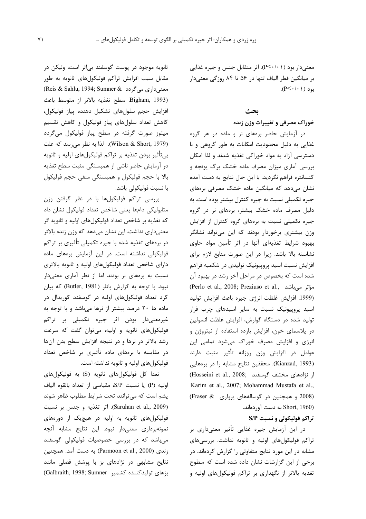معنی دار بود (P<۰/۰۱). اثر متقابل جنس و جیره غذایی بر میانگین قطر الیاف تنها در ۵۶ تا ۸۴ روزگی معنی دار  $(P<\cdot/\cdot\,)$  بود

## ىحث

## خوراک مصرفی و تغییرات وزن زنده

در آزمایش حاضر برههای نر و ماده در هر گروه غذایی به دلیل محدودیت امکانات به طور گروهی و با دسترسی آزاد به مواد خوراکی تغذیه شدند و لذا امکان بررسی آماری میزان مصرف ماده خشک برگ یونجه و كنسانتره فراهم نگرديد. با اين حال نتايج به دست آمده نشان مے،دھد که میانگین ماده خشک مصرفی برمھای جیره تکمیلی نسبت به جیره کنترل بیشتر بوده است. به دلیل مصرف ماده خشک بیشتر، برههای نر در گروه جیره تکمیلی نسبت به برههای گروه کنترل از افزایش وزن بیشتری برخوردار بودند که این میتواند نشانگر بهبود شرایط تغذیهای آنها در اثر تأمین مواد حاوی نشاسته بالا باشد. زیرا در این صورت منابع لازم برای افزایش نسبت اسید پروپیونیک تولیدی در شکمبه فراهم شده است که بخصوص در مراحل آخر رشد در بهبود آن (Perlo et al., 2008; Preziuso et al., مؤثر میباشد) (1999. افزایش غلظت انرژی جیره باعث افزایش تولید اسید پرویبونیک نسبت به سایر اسیدهای چرب فرار تولید شده در دستگاه گوارش، افزایش غلظت انسولین در پلاسمای خون، افزایش بازده استفاده از نیتروژن و انرژی و افزایش مصرف خوراک میشود تمامی این عوامل در افزایش وزن روزانه تأثیر مثبت دارند (Kianzad, 1993). محققین نتایج مشابه را در برههایی از نژادهای مختلف گوسفند (Hosseini et al., 2008; Karim et al., 2007; Mohammad Mustafa et al., (2008 و همچنین در گوسالههای پرواری Fraser & (Short, 1960 به دست آوردهاند.

## تراکم فولیکولی و نسبت S/P

در این آزمایش جیره غذایی تأثیر معنیداری بر تراکم فولیکولهای اولیه و ثانویه نداشت. بررسیهای مشابه در این مورد نتایج متفاوتی را گزارش کردهاند. در برخی از این گزارشات نشان داده شده است که سطوح تغذیه بالاتر از نگهداری بر تراکم فولیکولهای اولیه و

ثانويه موجود در پوست گوسفند بي¦ثر است، وليكن در مقابل سبب افزایش تراکم فولیکولهای ثانویه به طور معنیداری میگردد (Reis & Sahlu, 1994; Sumner & Bigham, 1993). سطح تغذيه بالاتر از متوسط باعث افزايش حجم سلولهاي تشكيل دهنده يياز فوليكول، کاهش تعداد سلولهای پیاز فولیکول و کاهش تقسیم میتوز صورت گرفته در سطح پیاز فولیکول میگردد (Wilson & Short, 1979). لذا به نظر می رسد که علت بیتأثیر بودن تغذیه بر تراکم فولیکولهای اولیه و ثانویه در آزمایش حاضر ناشی از همبستگی مثبت سطح تغذیه بالا با حجم فوليكول و همبستگي منفي حجم فوليكول با نسبت فولیکولی باشد.

بررسی تراکم فولیکولها با در نظر گرفتن وزن متابوليكي دامها يعنى شاخص تعداد فوليكول نشان داد که تغذیه بر شاخص تعداد فولیکولهای اولیه و ثانویه اثر معنیداری نداشت. این نشان میدهد که وزن زنده بالاتر در برههای تغذیه شده با جیره تکمیلی تأثیری بر تراکم فولیکولی نداشته است. در این آزمایش برمهای ماده دارای شاخص تعداد فولیکولهای اولیه و ثانویه بالاتری نسبت به برههای نر بودند اما از نظر آماری معنیدار نبود. با توجه به گزارش باتلر (Butler, 1981) که بیان کرد تعداد فولیکولهای اولیه در گوسفند کوریدال در ماده ها ۲۰ درصد بیشتر از نرها میباشد و با توجه به غیرمعنیدار بودن اثر جیره تکمیلی بر تراکم فولیکولهای ثانویه و اولیه، میتوان گفت که سرعت رشد بالاتر در نرها و در نتیجه افزایش سطح بدن آنها در مقایسه با برمهای ماده تأثیری بر شاخص تعداد فوليکولهای اوليه و ثانويه نداشته است.

تعدا كل فوليكول هاي ثانويه (S) به فوليكول هاي اوليه (P) يا نسبت S/P، مقياسي از تعداد بالقوه الياف پشم است که میتوانند تحت شرایط مطلوب ظاهر شوند (Saruhan et al., 2009). اثر تغذيه و جنس بر نسبت فولیکولهای ثانویه به اولیه در هیچیک از دورههای نمونهبرداری معنیدار نبود. این نتایج مشابه آنچه میباشد که در بررسی خصوصیات فولیکولی گوسفند زندی (Parmoon et al., 2000) به دست آمد. همچنین نتایج مشابهی در نژادهای بز با پوشش فصلی مانند بزهای تولیدکننده کشمیر Galbraith, 1998; Sumner)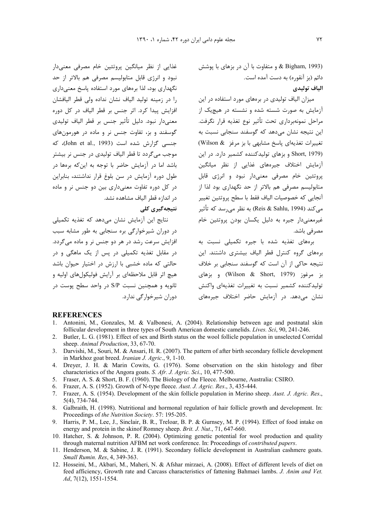رن در بزهای با پوشش & Bigham, 1993) دائم (بز آنقوره) به دست آمده است. الياف توليدي

میزان الیاف تولیدی در برمهای مورد استفاده در این .<br>آزمایش به صورت شسته شده و نشسته در هیچیک از مراحل نمونهبرداري تحت تأثير نوع تغذيه قرار نگرفت. این نتیجه نشان می۵هد که گوسفند سنجابی نسبت به تغییرات تغذیهای پاسخ مشابهی با بز مرغز Wilson & (Short, 1979 و بزهای تولیدکننده کشمیر دارد. در این آزمایش اختلاف جیرەهای غذایی از نظر میانگین پروتئین خام مصرفی معنیدار نبود و انرژی قابل متابولیسم مصرفی هم بالاتر از حد نگهداری بود لذا از آنجايي كه خصوصيات الياف فقط با سطح پروتئين تغيير مے کند (Reis & Sahlu, 1994) به نظر مے رسد که تأثیر .<br>غیرمعنے دار جیرہ به دلیل یکسان بودن پروتئین خام مصر في باشد.

برههای تغذیه شده با جیره تکمیلی نسبت به برههای گروه کنترل قطر الیاف بیشتری داشتند. این نتیجه حاکی از آن است که گوسفند سنجابی بر خلاف يز مرغوز (Wilson & Short, 1979) و يزهاي تولیدکننده کشمیر نسبت به تغییرات تغذیهای واکنش نشان مے،دهد. در آزمایش حاضر اختلاف جیرههای

## **REFERENCES**

- 1. Antonini, M., Gonzales, M. & Valbonesi, A. (2004). Relationship between age and postnatal skin follicular development in three types of South American domestic camelids. *Lives. Sci.* 90, 241-246.
- $2^{\circ}$ Butler, L. G. (1981). Effect of sex and Birth status on the wool follicle population in unselected Corridal sheep. Animal Production, 33, 67-70.
- 3. Darvishi, M., Souri, M. & Ansari, H. R. (2007). The pattern of after birth secondary follicle development in Markhoz goat breed. *Iranian J. Agric.*, 9, 1-10.
- 4. Dreyer, J. H. & Marin Cowits, G. (1976). Some observation on the skin histology and fiber characteristics of the Angora goats. S. Afr. J. Agric. Sci., 10, 477-500.
- 5. Fraser, A. S. & Short, B. F. (1960). The Biology of the Fleece. Melbourne, Australia: CSIRO.
- 6. Frazer, A. S. (1952). Growth of N-type fleece. Aust. J. Agric. Res., 3, 435-444.
- 7. Frazer, A. S. (1954). Development of the skin follicle population in Merino sheep. Aust. J. Agric. Res.,  $5(4)$ , 734-744.
- 8. Galbraith, H. (1998). Nutritional and hormonal regulation of hair follicle growth and development. In: Proceedings of the Nutrition Society. 57: 195-205.
- 9. Harris, P. M., Lee, J., Sinclair, B. R., Treloar, B. P. & Gurnsey, M. P. (1994). Effect of food intake on energy and protein in the skinof Romney sheep. Brit. J. Nut., 71, 647-660.
- 10. Hatcher, S. & Johnson, P. R. (2004). Optimizing genetic potential for wool production and quality through maternal nutrition AFBM net work conference. In: Proceedings of *contributed papers*.
- 11. Henderson, M. & Sabine, J. R. (1991). Secondary follicle development in Australian cashmere goats. Small Rumin. Res. 4, 349-363.
- 12. Hosseini, M., Akbari, M., Maheri, N. & Afshar mirzaei, A. (2008). Effect of different levels of diet on feed afficiency, Growth rate and Carcass characteristics of fattening Bahmaei lambs. J. Anim and Vet.  $Ad, 7(12), 1551-1554.$

غذایی از نظر میانگین پروتئین خام مصرفی معنیدار نبود و انرژی قابل متابولیسم مصرفی هم بالاتر از حد نگهداری بود، لذا برههای مورد استفاده پاسخ معنیداری را در زمینه تولید الیاف نشان نداده ولی قطر الیافشان افزایش پیدا کرد. اثر جنس بر قطر الیاف در کل دوره معنیدار نبود. دلیل تأثیر جنس بر قطر الیاف تولیدی گوسفند و بز، تفاوت جنس نر و ماده در هورمونهای جنسی گزارش شده است (John et al., 1993)، که موجب می گردد تا قطر الیاف تولیدی در جنس نر بیشتر باشد اما در آزمایش حاضر با توجه به این که برمها در طول دوره آزمایش در سن بلوغ قرار نداشتند، بنابراین در کل دوره تفاوت معنیداری بین دو جنس نر و ماده در اندازه قطر الياف مشاهده نشد.

## نتیجەگىرى كلى

نتائج این آزمایش نشان مے دھد که تغذیه تکمیلی در دوران شیرخوارگی بره سنجابی به طور مشابه سبب افزایش سرعت رشد در هر دو جنس نر و ماده مے گردد. در مقابل تغذیه تکمیلی در پس از یک ماهگی و در حالتی که ماده خشبی با ارزش در اختیار حیوان باشد هيچ اثر قابل ملاحظهاي بر آرايش فوليكولهاي اوليه و ثانویه و همچنین نسبت S/P در واحد سطح پوست در دوران شیرخوارگی ندارد.